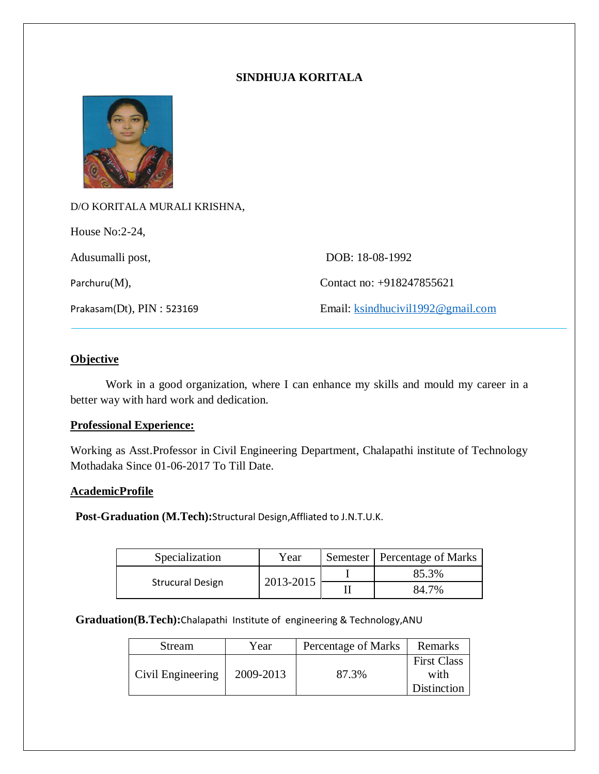# **SINDHUJA KORITALA**



D/O KORITALA MURALI KRISHNA, House No:2-24, Adusumalli post, DOB: 18-08-1992 Parchuru(M), Contact no: +918247855621 Prakasam(Dt), PIN : 523169 Email: [ksindhucivil1992@gmail.com](mailto:ksindhucivil1992@gmail.com)

## **Objective**

Work in a good organization, where I can enhance my skills and mould my career in a better way with hard work and dedication.

#### **Professional Experience:**

Working as Asst.Professor in Civil Engineering Department, Chalapathi institute of Technology Mothadaka Since 01-06-2017 To Till Date.

# **AcademicProfile**

**Post-Graduation (M.Tech):**Structural Design,Affliated to J.N.T.U.K.

| Specialization          | Year      | Semester   Percentage of Marks |
|-------------------------|-----------|--------------------------------|
| <b>Strucural Design</b> | 2013-2015 | 85.3%                          |
|                         |           | 7%<br>34.                      |

**Graduation(B.Tech):**Chalapathi Institute of engineering & Technology,ANU

| <b>Stream</b>     | Year      | Percentage of Marks | Remarks                                   |
|-------------------|-----------|---------------------|-------------------------------------------|
| Civil Engineering | 2009-2013 | 87.3%               | <b>First Class</b><br>with<br>Distinction |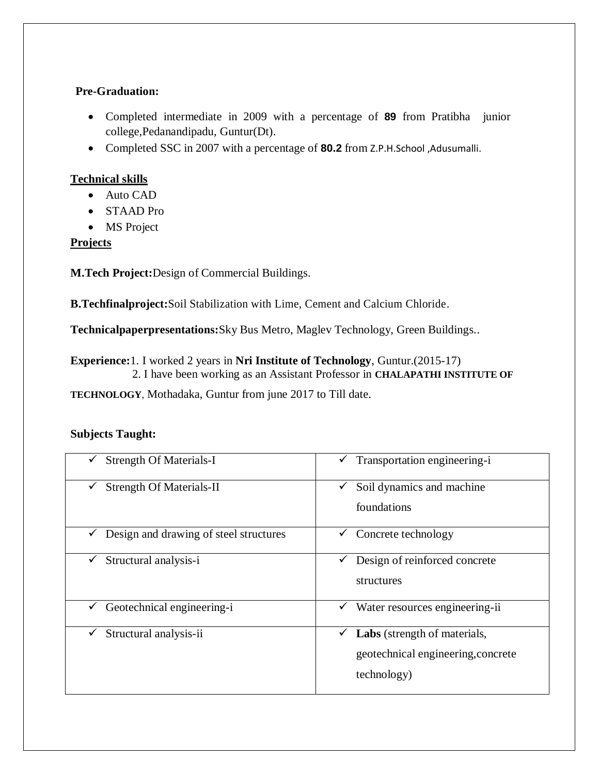# **Pre-Graduation:**

- Completed intermediate in 2009 with a percentage of **89** from Pratibha junior college,Pedanandipadu, Guntur(Dt).
- Completed SSC in 2007 with a percentage of **80.2** from Z.P.H.School ,Adusumalli.

# **Technical skills**

- Auto CAD
- STAAD Pro
- MS Project

# **Projects**

**M.Tech Project:**Design of Commercial Buildings.

**B.Techfinalproject:**Soil Stabilization with Lime, Cement and Calcium Chloride.

**Technicalpaperpresentations:**Sky Bus Metro, Maglev Technology, Green Buildings..

**Experience:**1. I worked 2 years in **Nri Institute of Technology**, Guntur.(2015-17) 2. I have been working as an Assistant Professor in **CHALAPATHI INSTITUTE OF** 

**TECHNOLOGY**, Mothadaka, Guntur from june 2017 to Till date.

# **Subjects Taught:**

| <b>Strength Of Materials-I</b>         | Transportation engineering-i<br>v                                                      |
|----------------------------------------|----------------------------------------------------------------------------------------|
| <b>Strength Of Materials-II</b>        | Soil dynamics and machine                                                              |
| $\checkmark$                           | foundations                                                                            |
| Design and drawing of steel structures | Concrete technology                                                                    |
| v                                      | v.                                                                                     |
| Structural analysis-i                  | Design of reinforced concrete                                                          |
| ✓                                      | structures                                                                             |
| Geotechnical engineering-i             | Water resources engineering-ii                                                         |
| ✓                                      | v                                                                                      |
| Structural analysis-ii<br>✓            | Labs (strength of materials,<br>v<br>geotechnical engineering, concrete<br>technology) |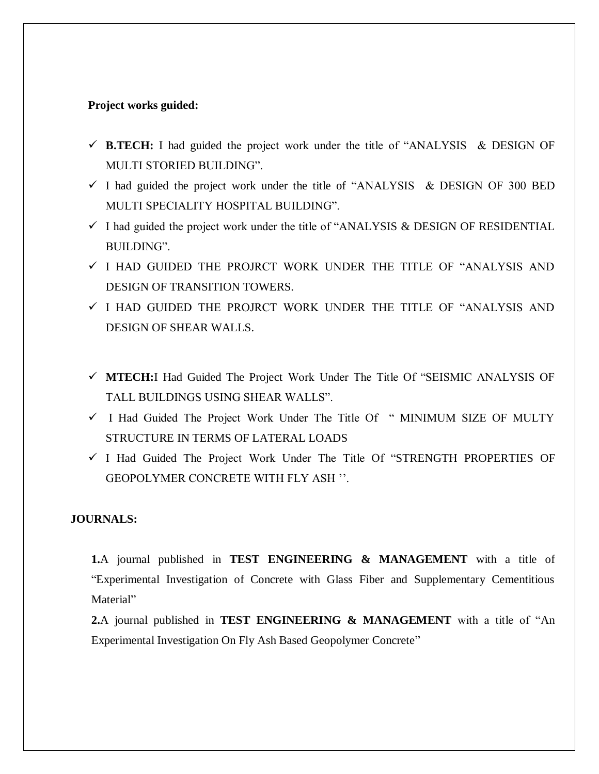#### **Project works guided:**

- $\checkmark$  **B.TECH:** I had guided the project work under the title of "ANALYSIS & DESIGN OF MULTI STORIED BUILDING".
- $\checkmark$  I had guided the project work under the title of "ANALYSIS & DESIGN OF 300 BED MULTI SPECIALITY HOSPITAL BUILDING".
- $\checkmark$  I had guided the project work under the title of "ANALYSIS & DESIGN OF RESIDENTIAL BUILDING".
- I HAD GUIDED THE PROJRCT WORK UNDER THE TITLE OF "ANALYSIS AND DESIGN OF TRANSITION TOWERS.
- I HAD GUIDED THE PROJRCT WORK UNDER THE TITLE OF "ANALYSIS AND DESIGN OF SHEAR WALLS.
- **MTECH:**I Had Guided The Project Work Under The Title Of "SEISMIC ANALYSIS OF TALL BUILDINGS USING SHEAR WALLS".
- I Had Guided The Project Work Under The Title Of " MINIMUM SIZE OF MULTY STRUCTURE IN TERMS OF LATERAL LOADS
- $\checkmark$  I Had Guided The Project Work Under The Title Of "STRENGTH PROPERTIES OF GEOPOLYMER CONCRETE WITH FLY ASH ''.

#### **JOURNALS:**

**1.**A journal published in **TEST ENGINEERING & MANAGEMENT** with a title of "Experimental Investigation of Concrete with Glass Fiber and Supplementary Cementitious Material"

**2.**A journal published in **TEST ENGINEERING & MANAGEMENT** with a title of "An Experimental Investigation On Fly Ash Based Geopolymer Concrete"